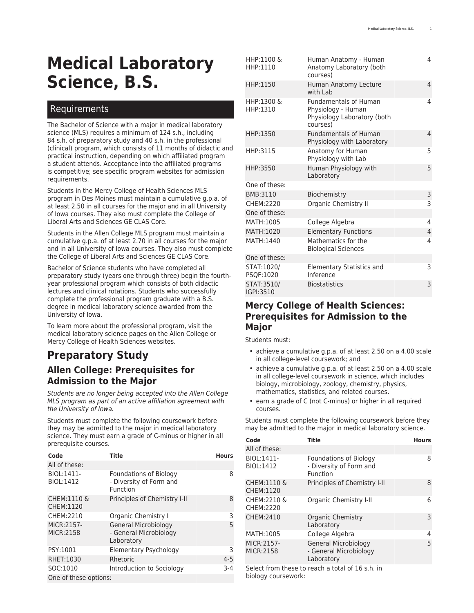# **Medical Laboratory Science, B.S.**

#### Requirements

The Bachelor of Science with a major in medical laboratory science (MLS) requires a minimum of 124 s.h., including 84 s.h. of preparatory study and 40 s.h. in the professional (clinical) program, which consists of 11 months of didactic and practical instruction, depending on which affiliated program a student attends. Acceptance into the affiliated programs is competitive; see specific program websites for admission requirements.

Students in the Mercy College of Health Sciences MLS program in Des Moines must maintain a cumulative g.p.a. of at least 2.50 in all courses for the major and in all University of Iowa courses. They also must complete the College of Liberal Arts and Sciences [GE CLAS Core](https://catalog.registrar.uiowa.edu/liberal-arts-sciences/general-education-program/).

Students in the Allen College MLS program must maintain a cumulative g.p.a. of at least 2.70 in all courses for the major and in all University of Iowa courses. They also must complete the College of Liberal Arts and Sciences [GE CLAS Core.](https://catalog.registrar.uiowa.edu/liberal-arts-sciences/general-education-program/)

Bachelor of Science students who have completed all preparatory study (years one through three) begin the fourthyear professional program which consists of both didactic lectures and clinical rotations. Students who successfully complete the professional program graduate with a B.S. degree in medical laboratory science awarded from the University of Iowa.

To learn more about the professional program, visit the medical laboratory science pages on the [Allen College](https://www.allencollege.edu/medical-laboratory-science-mls.aspx) or [Mercy College of Health Sciences](https://www.mchs.edu/Academics/Certificate-Programs/Medical-Laboratory-Science/) websites.

### **Preparatory Study Allen College: Prerequisites for Admission to the Major**

*Students are no longer being accepted into the Allen College MLS program as part of an active affiliation agreement with the University of Iowa.*

Students must complete the following coursework before they may be admitted to the major in medical laboratory science. They must earn a grade of C-minus or higher in all prerequisite courses.

| Code                           | Title                                                                | <b>Hours</b> |  |  |
|--------------------------------|----------------------------------------------------------------------|--------------|--|--|
| All of these:                  |                                                                      |              |  |  |
| BIOL:1411-<br>BIOL:1412        | <b>Foundations of Biology</b><br>- Diversity of Form and<br>Function | 8            |  |  |
| CHEM:1110 &<br>CHEM:1120       | Principles of Chemistry I-II                                         | 8            |  |  |
| CHEM:2210                      | Organic Chemistry I                                                  | 3            |  |  |
| MICR:2157-<br><b>MICR:2158</b> | General Microbiology<br>- General Microbiology<br>Laboratory         | 5            |  |  |
| PSY:1001                       | Elementary Psychology                                                | 3            |  |  |
| RHET:1030                      | Rhetoric                                                             | $4 - 5$      |  |  |
| SOC:1010                       | Introduction to Sociology                                            | $3-4$        |  |  |
| One of these options:          |                                                                      |              |  |  |

| HHP:1100 &<br>HHP:1110   | Human Anatomy - Human<br>Anatomy Laboratory (both<br>courses)                                 | 4 |
|--------------------------|-----------------------------------------------------------------------------------------------|---|
| HHP:1150                 | Human Anatomy Lecture<br>with Lab                                                             | 4 |
| HHP:1300 &<br>HHP:1310   | <b>Fundamentals of Human</b><br>Physiology - Human<br>Physiology Laboratory (both<br>courses) | 4 |
| HHP:1350                 | <b>Fundamentals of Human</b><br>Physiology with Laboratory                                    | 4 |
| HHP:3115                 | Anatomy for Human<br>Physiology with Lab                                                      | 5 |
| HHP:3550                 | Human Physiology with<br>Laboratory                                                           | 5 |
| One of these:            |                                                                                               |   |
| BMB:3110                 | Biochemistry                                                                                  | 3 |
| CHFM: 2220               | Organic Chemistry II                                                                          | 3 |
| One of these:            |                                                                                               |   |
| MATH:1005                | College Algebra                                                                               | 4 |
| MATH:1020                | <b>Elementary Functions</b>                                                                   | 4 |
| MATH:1440                | Mathematics for the<br><b>Biological Sciences</b>                                             | 4 |
| One of these:            |                                                                                               |   |
| STAT: 1020/<br>PSQF:1020 | Elementary Statistics and<br>Inference                                                        | 3 |
| STAT:3510/<br>IGPI:3510  | <b>Biostatistics</b>                                                                          | 3 |

#### **Mercy College of Health Sciences: Prerequisites for Admission to the Major**

Students must:

- achieve a cumulative g.p.a. of at least 2.50 on a 4.00 scale in all college-level coursework; and
- achieve a cumulative g.p.a. of at least 2.50 on a 4.00 scale in all college-level coursework in science, which includes biology, microbiology, zoology, chemistry, physics, mathematics, statistics, and related courses.
- earn a grade of C (not C-minus) or higher in all required courses.

Students must complete the following coursework before they may be admitted to the major in medical laboratory science.

| Code                                | <b>Title</b>                                                         | <b>Hours</b> |
|-------------------------------------|----------------------------------------------------------------------|--------------|
| All of these:                       |                                                                      |              |
| BIOL:1411-<br>BIOL:1412             | <b>Foundations of Biology</b><br>- Diversity of Form and<br>Function | 8            |
| <b>CHEM:1110 &amp;</b><br>CHEM:1120 | Principles of Chemistry I-II                                         | 8            |
| CHEM:2210 &<br>CHEM:2220            | Organic Chemistry I-II                                               | 6            |
| CHEM:2410                           | Organic Chemistry<br>Laboratory                                      | 3            |
| MATH:1005                           | College Algebra                                                      | 4            |
| MICR:2157-<br>MICR:2158             | General Microbiology<br>- General Microbiology<br>Laboratory         | 5            |

Select from these to reach a total of 16 s.h. in biology coursework: